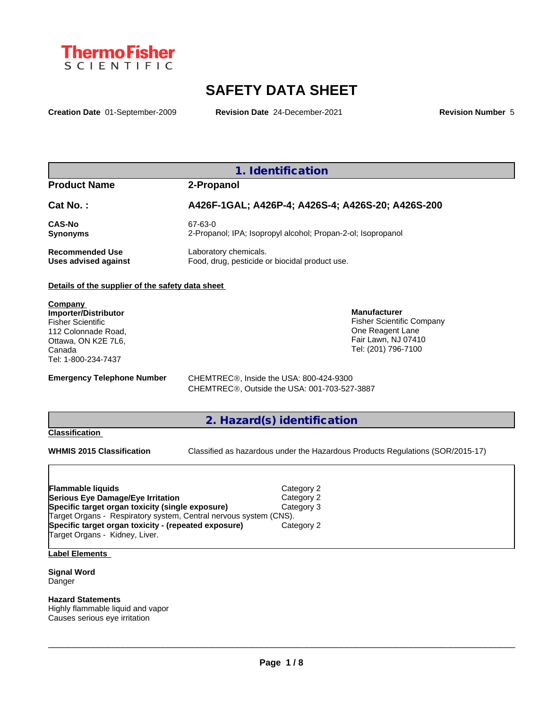

# **SAFETY DATA SHEET**

**Creation Date** 01-September-2009 **Revision Date** 24-December-2021 **Revision Number** 5

## **1. Identification**

### **Product Name 2-Propanol**

| Cat No.:               | A426F-1GAL; A426P-4; A426S-4; A426S-20; A426S-200            |
|------------------------|--------------------------------------------------------------|
| <b>CAS-No</b>          | 67-63-0                                                      |
| <b>Synonyms</b>        | 2-Propanol; IPA; Isopropyl alcohol; Propan-2-ol; Isopropanol |
| <b>Recommended Use</b> | Laboratory chemicals.                                        |
| Uses advised against   | Food, drug, pesticide or biocidal product use.               |

#### **Details of the supplier of the safety data sheet**

**Company Importer/Distributor** Fisher Scientific 112 Colonnade Road, Ottawa, ON K2E 7L6, Canada Tel: 1-800-234-7437

**Emergency Telephone Number** CHEMTREC<sup>®</sup>, Inside the USA: 800-424-9300 CHEMTREC®, Outside the USA: 001-703-527-3887

## **2. Hazard(s) identification**

### **Classification**

**WHMIS 2015 Classification** Classified as hazardous under the Hazardous Products Regulations (SOR/2015-17)

 $\_$  ,  $\_$  ,  $\_$  ,  $\_$  ,  $\_$  ,  $\_$  ,  $\_$  ,  $\_$  ,  $\_$  ,  $\_$  ,  $\_$  ,  $\_$  ,  $\_$  ,  $\_$  ,  $\_$  ,  $\_$  ,  $\_$  ,  $\_$  ,  $\_$  ,  $\_$  ,  $\_$  ,  $\_$  ,  $\_$  ,  $\_$  ,  $\_$  ,  $\_$  ,  $\_$  ,  $\_$  ,  $\_$  ,  $\_$  ,  $\_$  ,  $\_$  ,  $\_$  ,  $\_$  ,  $\_$  ,  $\_$  ,  $\_$  ,

**Manufacturer**

Fisher Scientific Company One Reagent Lane Fair Lawn, NJ 07410 Tel: (201) 796-7100

| <b>Flammable liquids</b>                                                               | Category 2 |  |
|----------------------------------------------------------------------------------------|------------|--|
| Serious Eye Damage/Eye Irritation                                                      | Category 2 |  |
| Specific target organ toxicity (single exposure)                                       | Category 3 |  |
| Target Organs - Respiratory system, Central nervous system (CNS).                      |            |  |
| Specific target organ toxicity - (repeated exposure)<br>Target Organs - Kidney, Liver. | Category 2 |  |

## **Label Elements**

**Signal Word** Danger

# **Hazard Statements**

Highly flammable liquid and vapor Causes serious eye irritation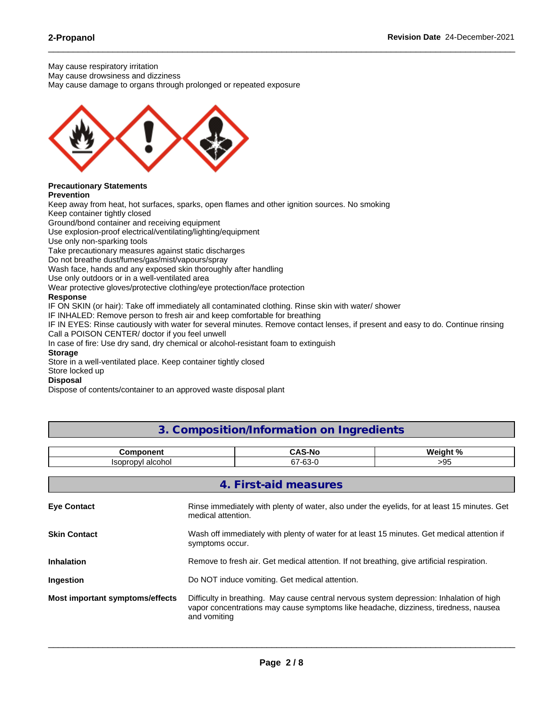May cause respiratory irritation

May cause drowsiness and dizziness

May cause damage to organs through prolonged or repeated exposure



# **Precautionary Statements**

**Prevention**

Keep away from heat, hot surfaces, sparks, open flames and other ignition sources. No smoking

Keep container tightly closed

Ground/bond container and receiving equipment

Use explosion-proof electrical/ventilating/lighting/equipment

Use only non-sparking tools

Take precautionary measures against static discharges

Do not breathe dust/fumes/gas/mist/vapours/spray

Wash face, hands and any exposed skin thoroughly after handling

Use only outdoors or in a well-ventilated area

Wear protective gloves/protective clothing/eye protection/face protection

#### **Response**

IF ON SKIN (or hair): Take off immediately all contaminated clothing. Rinse skin with water/ shower

IF INHALED: Remove person to fresh air and keep comfortable for breathing

IF IN EYES: Rinse cautiously with water for several minutes. Remove contact lenses, if present and easy to do. Continue rinsing Call a POISON CENTER/ doctor if you feel unwell

 $\_$  ,  $\_$  ,  $\_$  ,  $\_$  ,  $\_$  ,  $\_$  ,  $\_$  ,  $\_$  ,  $\_$  ,  $\_$  ,  $\_$  ,  $\_$  ,  $\_$  ,  $\_$  ,  $\_$  ,  $\_$  ,  $\_$  ,  $\_$  ,  $\_$  ,  $\_$  ,  $\_$  ,  $\_$  ,  $\_$  ,  $\_$  ,  $\_$  ,  $\_$  ,  $\_$  ,  $\_$  ,  $\_$  ,  $\_$  ,  $\_$  ,  $\_$  ,  $\_$  ,  $\_$  ,  $\_$  ,  $\_$  ,  $\_$  ,

In case of fire: Use dry sand, dry chemical or alcohol-resistant foam to extinguish

### **Storage**

Store in a well-ventilated place. Keep container tightly closed

Store locked up

#### **Disposal**

Dispose of contents/container to an approved waste disposal plant

# **3. Composition/Information on Ingredients**

| .<br>.<br>$-$                    |                                  | 01 عمامہ:<br>''~ |
|----------------------------------|----------------------------------|------------------|
| alcohol<br>leor<br>าr∩n∨ı<br>ישט | $\sim$<br>~-<br>07-C<br>--<br>u. | טי               |

**4. First-aid measures**

|                                 | 4. FII St-diu Tiltasults                                                                                                                                                                        |
|---------------------------------|-------------------------------------------------------------------------------------------------------------------------------------------------------------------------------------------------|
| <b>Eye Contact</b>              | Rinse immediately with plenty of water, also under the eyelids, for at least 15 minutes. Get<br>medical attention.                                                                              |
| <b>Skin Contact</b>             | Wash off immediately with plenty of water for at least 15 minutes. Get medical attention if<br>symptoms occur.                                                                                  |
| <b>Inhalation</b>               | Remove to fresh air. Get medical attention. If not breathing, give artificial respiration.                                                                                                      |
| Ingestion                       | Do NOT induce vomiting. Get medical attention.                                                                                                                                                  |
| Most important symptoms/effects | Difficulty in breathing. May cause central nervous system depression: Inhalation of high<br>vapor concentrations may cause symptoms like headache, dizziness, tiredness, nausea<br>and vomiting |
|                                 |                                                                                                                                                                                                 |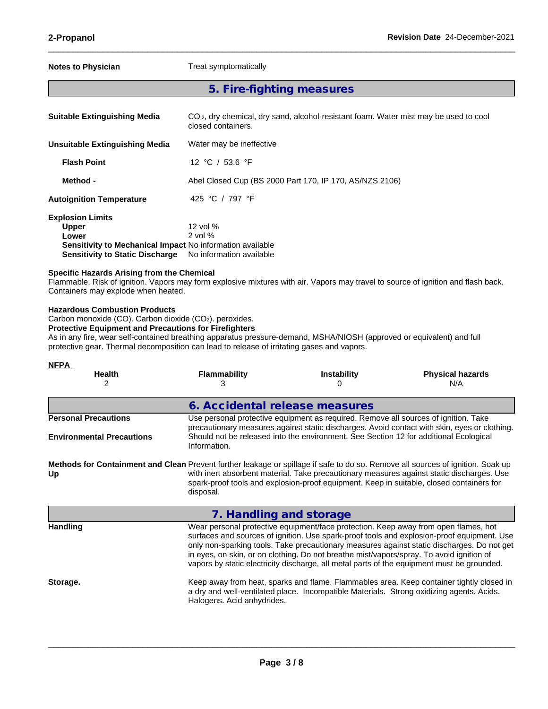| <b>Notes to Physician</b>                        |                                                                                                                                                                     | Treat symptomatically                                                                                                                                                                                               |                                                                                                                                                                              |                                                                                                                                   |
|--------------------------------------------------|---------------------------------------------------------------------------------------------------------------------------------------------------------------------|---------------------------------------------------------------------------------------------------------------------------------------------------------------------------------------------------------------------|------------------------------------------------------------------------------------------------------------------------------------------------------------------------------|-----------------------------------------------------------------------------------------------------------------------------------|
|                                                  |                                                                                                                                                                     | 5. Fire-fighting measures                                                                                                                                                                                           |                                                                                                                                                                              |                                                                                                                                   |
|                                                  | <b>Suitable Extinguishing Media</b>                                                                                                                                 | closed containers.                                                                                                                                                                                                  | CO <sub>2</sub> , dry chemical, dry sand, alcohol-resistant foam. Water mist may be used to cool                                                                             |                                                                                                                                   |
|                                                  | <b>Unsuitable Extinguishing Media</b>                                                                                                                               | Water may be ineffective                                                                                                                                                                                            |                                                                                                                                                                              |                                                                                                                                   |
| <b>Flash Point</b>                               |                                                                                                                                                                     | 12 °C / 53.6 °F                                                                                                                                                                                                     |                                                                                                                                                                              |                                                                                                                                   |
| Method -                                         |                                                                                                                                                                     |                                                                                                                                                                                                                     | Abel Closed Cup (BS 2000 Part 170, IP 170, AS/NZS 2106)                                                                                                                      |                                                                                                                                   |
|                                                  | <b>Autoignition Temperature</b>                                                                                                                                     | 425 °C / 797 °F                                                                                                                                                                                                     |                                                                                                                                                                              |                                                                                                                                   |
| <b>Explosion Limits</b><br><b>Upper</b><br>Lower | <b>Sensitivity to Static Discharge</b><br>Specific Hazards Arising from the Chemical<br>Containers may explode when heated.<br><b>Hazardous Combustion Products</b> | 12 vol %<br>$2$ vol $%$<br>Sensitivity to Mechanical Impact No information available<br>No information available                                                                                                    |                                                                                                                                                                              | Flammable. Risk of ignition. Vapors may form explosive mixtures with air. Vapors may travel to source of ignition and flash back. |
|                                                  | Carbon monoxide (CO). Carbon dioxide (CO2). peroxides.<br><b>Protective Equipment and Precautions for Firefighters</b>                                              | As in any fire, wear self-contained breathing apparatus pressure-demand, MSHA/NIOSH (approved or equivalent) and full<br>protective gear. Thermal decomposition can lead to release of irritating gases and vapors. |                                                                                                                                                                              |                                                                                                                                   |
| <b>NFPA</b>                                      | Health<br>2                                                                                                                                                         | <b>Flammability</b><br>3                                                                                                                                                                                            | <b>Instability</b><br>0                                                                                                                                                      | <b>Physical hazards</b><br>N/A                                                                                                    |
|                                                  |                                                                                                                                                                     | 6. Accidental release measures                                                                                                                                                                                      |                                                                                                                                                                              |                                                                                                                                   |
|                                                  | <b>Personal Precautions</b><br><b>Environmental Precautions</b>                                                                                                     | Information.                                                                                                                                                                                                        | Use personal protective equipment as required. Remove all sources of ignition. Take<br>Should not be released into the environment. See Section 12 for additional Ecological | precautionary measures against static discharges. Avoid contact with skin, eyes or clothing.                                      |

**Methods for Containment and Clean** Prevent further leakage or spillage if safe to do so. Remove all sources of ignition. Soak up **Up** with inert absorbent material. Take precautionary measures against static discharges. Use spark-proof tools and explosion-proof equipment. Keep in suitable, closed containers for disposal.

|                 | 7. Handling and storage                                                                                                                                                                                                                                                                                                                                                                                                                                                   |
|-----------------|---------------------------------------------------------------------------------------------------------------------------------------------------------------------------------------------------------------------------------------------------------------------------------------------------------------------------------------------------------------------------------------------------------------------------------------------------------------------------|
| <b>Handling</b> | Wear personal protective equipment/face protection. Keep away from open flames, hot<br>surfaces and sources of ignition. Use spark-proof tools and explosion-proof equipment. Use<br>only non-sparking tools. Take precautionary measures against static discharges. Do not get<br>in eyes, on skin, or on clothing. Do not breathe mist/vapors/spray. To avoid ignition of<br>vapors by static electricity discharge, all metal parts of the equipment must be grounded. |
| Storage.        | Keep away from heat, sparks and flame. Flammables area. Keep container tightly closed in<br>a dry and well-ventilated place. Incompatible Materials. Strong oxidizing agents. Acids.<br>Halogens. Acid anhydrides.                                                                                                                                                                                                                                                        |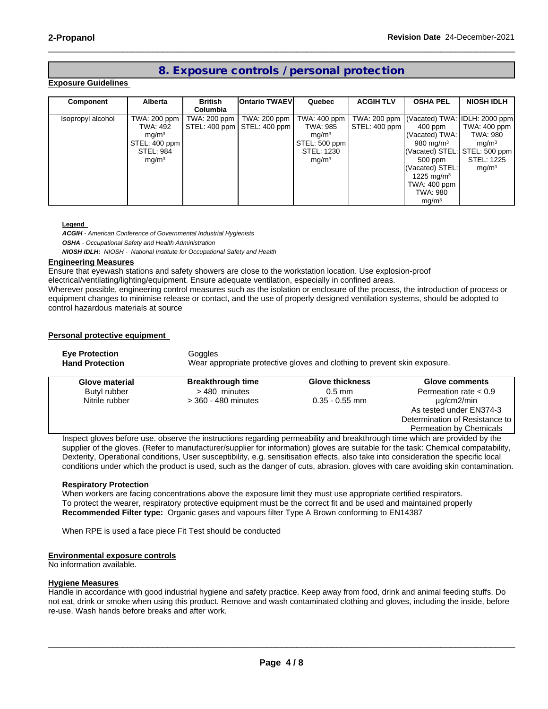# **8. Exposure controls / personal protection**

 $\_$  ,  $\_$  ,  $\_$  ,  $\_$  ,  $\_$  ,  $\_$  ,  $\_$  ,  $\_$  ,  $\_$  ,  $\_$  ,  $\_$  ,  $\_$  ,  $\_$  ,  $\_$  ,  $\_$  ,  $\_$  ,  $\_$  ,  $\_$  ,  $\_$  ,  $\_$  ,  $\_$  ,  $\_$  ,  $\_$  ,  $\_$  ,  $\_$  ,  $\_$  ,  $\_$  ,  $\_$  ,  $\_$  ,  $\_$  ,  $\_$  ,  $\_$  ,  $\_$  ,  $\_$  ,  $\_$  ,  $\_$  ,  $\_$  ,

#### **Exposure Guidelines**

| Component         | Alberta           | <b>British</b>  | <b>Ontario TWAEVI</b>         | Quebec            | <b>ACGIH TLV</b>              | <b>OSHA PEL</b>                              | <b>NIOSH IDLH</b> |
|-------------------|-------------------|-----------------|-------------------------------|-------------------|-------------------------------|----------------------------------------------|-------------------|
|                   |                   | <b>Columbia</b> |                               |                   |                               |                                              |                   |
| Isopropyl alcohol | TWA: 200 ppm      |                 | TWA: 200 ppm   TWA: 200 ppm   | TWA: 400 ppm      |                               | TWA: 200 ppm   (Vacated) TWA: IDLH: 2000 ppm |                   |
|                   | TWA: 492          |                 | STEL: 400 ppm   STEL: 400 ppm | TWA: 985          | $\vert$ STEL: 400 ppm $\vert$ | 400 ppm                                      | TWA: 400 ppm      |
|                   | mg/m <sup>3</sup> |                 |                               | mg/m <sup>3</sup> |                               | (Vacated) TWA:                               | TWA: 980          |
|                   | STEL: 400 ppm     |                 |                               | STEL: 500 ppm     |                               | 980 mg/m $3$                                 | mq/m <sup>3</sup> |
|                   | STEL: 984         |                 |                               | STEL: 1230        |                               | (Vacated) STEL: STEL: 500 ppm                |                   |
|                   | mq/m <sup>3</sup> |                 |                               | mg/m <sup>3</sup> |                               | 500 ppm                                      | STEL: 1225        |
|                   |                   |                 |                               |                   |                               | (Vacated) STEL:                              | mq/m <sup>3</sup> |
|                   |                   |                 |                               |                   |                               | 1225 mg/m <sup>3</sup>                       |                   |
|                   |                   |                 |                               |                   |                               | TWA: 400 ppm                                 |                   |
|                   |                   |                 |                               |                   |                               | TWA: 980                                     |                   |
|                   |                   |                 |                               |                   |                               | mq/m <sup>3</sup>                            |                   |

#### **Legend**

*ACGIH - American Conference of Governmental Industrial Hygienists OSHA - Occupational Safety and Health Administration NIOSH IDLH: NIOSH - National Institute for Occupational Safety and Health*

#### **Engineering Measures**

Ensure that eyewash stations and safety showers are close to the workstation location. Use explosion-proof

electrical/ventilating/lighting/equipment. Ensure adequate ventilation, especially in confined areas.

Wherever possible, engineering control measures such as the isolation or enclosure of the process, the introduction of process or equipment changes to minimise release or contact, and the use of properly designed ventilation systems, should be adopted to control hazardous materials at source

#### **Personal protective equipment**

| <b>Eye Protection</b><br><b>Hand Protection</b> | Goggles                                                                                                                    | Wear appropriate protective gloves and clothing to prevent skin exposure. |                                |
|-------------------------------------------------|----------------------------------------------------------------------------------------------------------------------------|---------------------------------------------------------------------------|--------------------------------|
| Glove material                                  | <b>Breakthrough time</b>                                                                                                   | <b>Glove thickness</b>                                                    | <b>Glove comments</b>          |
| Butyl rubber                                    | >480 minutes                                                                                                               | $0.5$ mm                                                                  | Permeation rate $< 0.9$        |
| Nitrile rubber                                  | $>$ 360 - 480 minutes                                                                                                      | $0.35 - 0.55$ mm                                                          | µg/cm2/min                     |
|                                                 |                                                                                                                            |                                                                           | As tested under EN374-3        |
|                                                 |                                                                                                                            |                                                                           | Determination of Resistance to |
|                                                 |                                                                                                                            |                                                                           | <b>Permeation by Chemicals</b> |
|                                                 | Inspect gloves before use, observe the instructions regarding permeability and breakthrough time which are provided by the |                                                                           |                                |

Inspect gloves before use. observe the instructions regarding permeability and breakthrough time which are provided by the supplier of the gloves. (Refer to manufacturer/supplier for information) gloves are suitable for the task: Chemical compatability, Dexterity, Operational conditions, User susceptibility, e.g. sensitisation effects, also take into consideration the specific local conditions under which the product is used, such as the danger of cuts, abrasion. gloves with care avoiding skin contamination.

#### **Respiratory Protection**

When workers are facing concentrations above the exposure limit they must use appropriate certified respirators.<br>To protect the wearer, respiratory protective equipment must be the correct fit and be used and maintained pr **Recommended Filter type:** Organic gases and vapours filter Type A Brown conforming to EN14387

When RPE is used a face piece Fit Test should be conducted

#### **Environmental exposure controls**

No information available.

#### **Hygiene Measures**

Handle in accordance with good industrial hygiene and safety practice. Keep away from food, drink and animal feeding stuffs. Do not eat, drink or smoke when using this product. Remove and wash contaminated clothing and gloves, including the inside, before re-use. Wash hands before breaks and after work.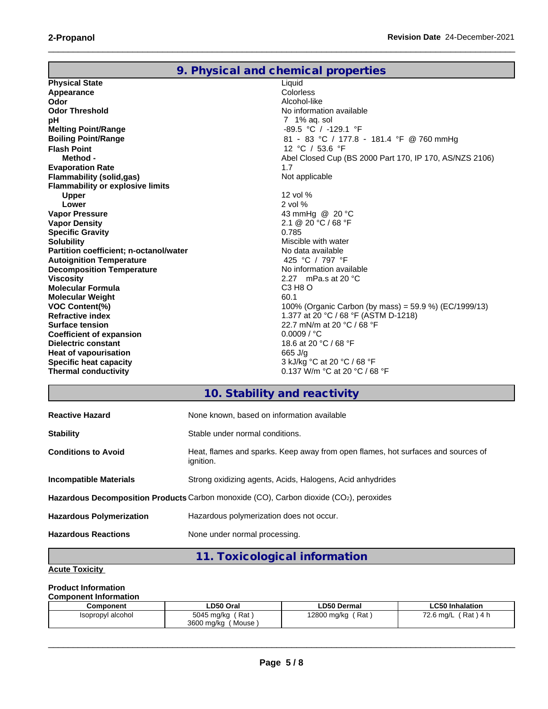|                                         | 9. Physical and chemical properties                         |
|-----------------------------------------|-------------------------------------------------------------|
| <b>Physical State</b>                   | Liquid                                                      |
| Appearance                              | Colorless                                                   |
| Odor                                    | Alcohol-like                                                |
| <b>Odor Threshold</b>                   | No information available                                    |
| рH                                      | 7 1% ag. sol                                                |
| <b>Melting Point/Range</b>              | -89.5 °C / -129.1 °F                                        |
| <b>Boiling Point/Range</b>              | 81 - 83 °C / 177.8 - 181.4 °F @ 760 mmHg                    |
| <b>Flash Point</b>                      | 12 °C / 53.6 °F                                             |
| Method -                                | Abel Closed Cup (BS 2000 Part 170, IP 170, AS/NZS 2106)     |
| <b>Evaporation Rate</b>                 | 1.7                                                         |
| <b>Flammability (solid,gas)</b>         | Not applicable                                              |
| <b>Flammability or explosive limits</b> |                                                             |
| <b>Upper</b>                            | 12 vol %                                                    |
| Lower                                   | $2$ vol $%$                                                 |
| <b>Vapor Pressure</b>                   | 43 mmHg @ 20 °C                                             |
| <b>Vapor Density</b>                    | $2.1 \ @ \ 20 \ ^{\circ}C / 68 \ ^{\circ}F$                 |
| <b>Specific Gravity</b>                 | 0.785                                                       |
| <b>Solubility</b>                       | Miscible with water                                         |
| Partition coefficient; n-octanol/water  | No data available                                           |
| <b>Autoignition Temperature</b>         | 425 °C / 797 °F                                             |
| <b>Decomposition Temperature</b>        | No information available                                    |
| <b>Viscosity</b>                        | 2.27 mPa.s at 20 $\degree$ C                                |
| <b>Molecular Formula</b>                | C3 H <sub>8</sub> O                                         |
| <b>Molecular Weight</b>                 | 60.1                                                        |
| <b>VOC Content(%)</b>                   | 100% (Organic Carbon (by mass) = 59.9 %) (EC/1999/13)       |
| <b>Refractive index</b>                 | 1.377 at 20 °C / 68 °F (ASTM D-1218)                        |
| <b>Surface tension</b>                  | 22.7 mN/m at 20 °C / 68 °F                                  |
| <b>Coefficient of expansion</b>         | 0.0009 / °C                                                 |
| Dielectric constant                     | 18.6 at 20 °C / 68 °F                                       |
| <b>Heat of vapourisation</b>            | 665 J/g                                                     |
| Specific heat capacity                  | 3 kJ/kg °C at 20 °C / 68 °F                                 |
| <b>Thermal conductivity</b>             | 0.137 W/m $^{\circ}$ C at 20 $^{\circ}$ C / 68 $^{\circ}$ F |

 $\_$  ,  $\_$  ,  $\_$  ,  $\_$  ,  $\_$  ,  $\_$  ,  $\_$  ,  $\_$  ,  $\_$  ,  $\_$  ,  $\_$  ,  $\_$  ,  $\_$  ,  $\_$  ,  $\_$  ,  $\_$  ,  $\_$  ,  $\_$  ,  $\_$  ,  $\_$  ,  $\_$  ,  $\_$  ,  $\_$  ,  $\_$  ,  $\_$  ,  $\_$  ,  $\_$  ,  $\_$  ,  $\_$  ,  $\_$  ,  $\_$  ,  $\_$  ,  $\_$  ,  $\_$  ,  $\_$  ,  $\_$  ,  $\_$  ,

# **10. Stability and reactivity**

| <b>Reactive Hazard</b>          | None known, based on information available                                                          |
|---------------------------------|-----------------------------------------------------------------------------------------------------|
| <b>Stability</b>                | Stable under normal conditions.                                                                     |
| <b>Conditions to Avoid</b>      | Heat, flames and sparks. Keep away from open flames, hot surfaces and sources of<br>ignition.       |
| <b>Incompatible Materials</b>   | Strong oxidizing agents, Acids, Halogens, Acid anhydrides                                           |
|                                 | Hazardous Decomposition Products Carbon monoxide (CO), Carbon dioxide (CO <sub>2</sub> ), peroxides |
| <b>Hazardous Polymerization</b> | Hazardous polymerization does not occur.                                                            |
| <b>Hazardous Reactions</b>      | None under normal processing.                                                                       |

# **11. Toxicological information**

# **Acute Toxicity**

## **Product Information**

### **Component Information**

| Component         | LD50 Oral           | <b>LD50 Dermal</b> | <b>LC50 Inhalation</b>                     |
|-------------------|---------------------|--------------------|--------------------------------------------|
| Isopropyl alcohol | Rat<br>5045 mg/kg   | Rat<br>12800 mg/kg | Rat<br>$\overline{z}$<br>72.6 ma/L<br>14 h |
|                   | 3600 ma/ka<br>Mouse |                    |                                            |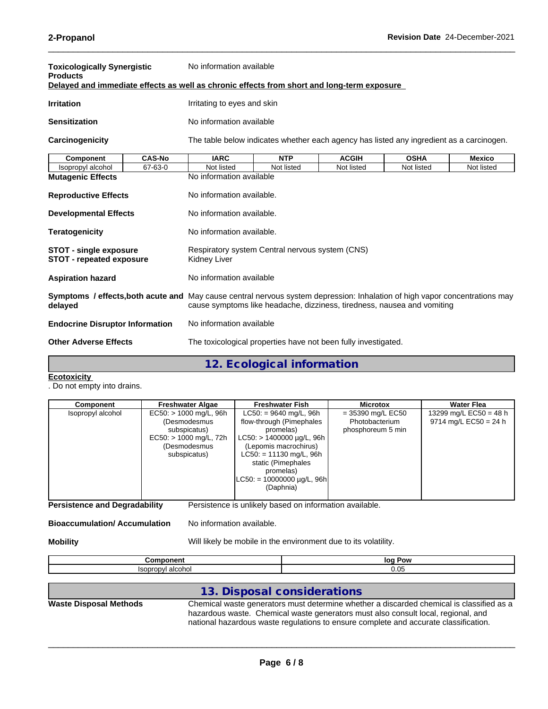| Toxicologically Synergistic<br><b>Products</b>                                             |               | No information available                                                                                                                                                                                      |                           |              |             |               |  |
|--------------------------------------------------------------------------------------------|---------------|---------------------------------------------------------------------------------------------------------------------------------------------------------------------------------------------------------------|---------------------------|--------------|-------------|---------------|--|
| Delayed and immediate effects as well as chronic effects from short and long-term exposure |               |                                                                                                                                                                                                               |                           |              |             |               |  |
| <b>Irritation</b>                                                                          |               | Irritating to eyes and skin                                                                                                                                                                                   |                           |              |             |               |  |
| <b>Sensitization</b>                                                                       |               | No information available                                                                                                                                                                                      |                           |              |             |               |  |
| Carcinogenicity                                                                            |               | The table below indicates whether each agency has listed any ingredient as a carcinogen.                                                                                                                      |                           |              |             |               |  |
| <b>Component</b>                                                                           | <b>CAS-No</b> | <b>IARC</b>                                                                                                                                                                                                   | <b>NTP</b>                | <b>ACGIH</b> | <b>OSHA</b> | <b>Mexico</b> |  |
| Isopropyl alcohol                                                                          | 67-63-0       | Not listed                                                                                                                                                                                                    | Not listed                | Not listed   | Not listed  | Not listed    |  |
| <b>Mutagenic Effects</b>                                                                   |               | No information available                                                                                                                                                                                      |                           |              |             |               |  |
| <b>Reproductive Effects</b>                                                                |               | No information available.                                                                                                                                                                                     |                           |              |             |               |  |
| <b>Developmental Effects</b>                                                               |               | No information available.                                                                                                                                                                                     |                           |              |             |               |  |
| <b>Teratogenicity</b>                                                                      |               |                                                                                                                                                                                                               | No information available. |              |             |               |  |
| <b>STOT - single exposure</b><br><b>STOT - repeated exposure</b>                           |               | Respiratory system Central nervous system (CNS)<br>Kidney Liver                                                                                                                                               |                           |              |             |               |  |
| <b>Aspiration hazard</b>                                                                   |               | No information available                                                                                                                                                                                      |                           |              |             |               |  |
| delayed                                                                                    |               | <b>Symptoms / effects, both acute and</b> May cause central nervous system depression: Inhalation of high vapor concentrations may<br>cause symptoms like headache, dizziness, tiredness, nausea and vomiting |                           |              |             |               |  |

| <b>Endocrine Disruptor Information</b> | No information available                                       |
|----------------------------------------|----------------------------------------------------------------|
| <b>Other Adverse Effects</b>           | The toxicological properties have not been fully investigated. |

**12. Ecological information**

#### **Ecotoxicity**

. Do not empty into drains.

**Persistence and Degradability** Persistence is unlikely based on information available.

**Bioaccumulation/ Accumulation** No information available.

**Mobility** Mobil **Mobility** Will likely be mobile in the environment due to its volatility.

| - - - -<br>---  | Pow<br>lor        |
|-----------------|-------------------|
| alaah<br><br>יט | $\bigcap$<br>v.vu |

## **13. Disposal considerations**

**Waste Disposal Methods** Chemical waste generators must determine whether a discarded chemical is classified as a hazardous waste. Chemical waste generators must also consult local, regional, and national hazardous waste regulations to ensure complete and accurate classification.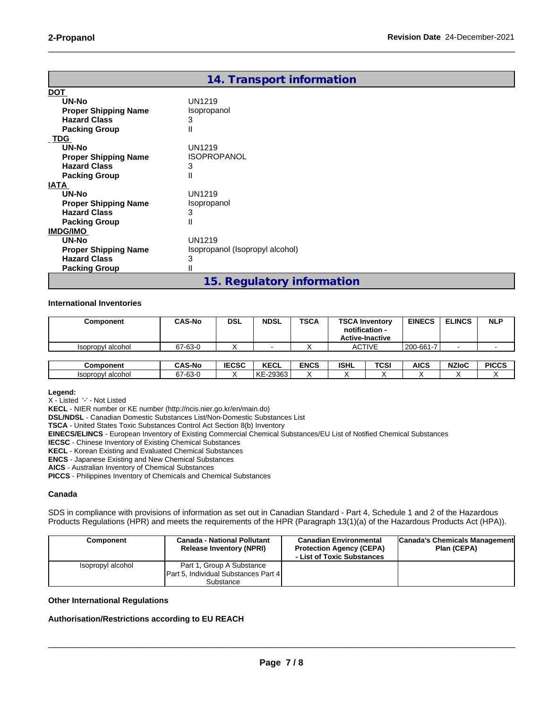|                             | 14. Transport information       |
|-----------------------------|---------------------------------|
| <b>DOT</b>                  |                                 |
| UN-No                       | <b>UN1219</b>                   |
| <b>Proper Shipping Name</b> | Isopropanol                     |
| <b>Hazard Class</b>         | 3                               |
| <b>Packing Group</b>        | Ш                               |
| <b>TDG</b>                  |                                 |
| UN-No                       | <b>UN1219</b>                   |
| <b>Proper Shipping Name</b> | <b>ISOPROPANOL</b>              |
| <b>Hazard Class</b>         | 3                               |
| <b>Packing Group</b>        | $\mathsf{I}$                    |
| <b>IATA</b>                 |                                 |
| UN-No                       | UN1219                          |
| <b>Proper Shipping Name</b> | Isopropanol                     |
| <b>Hazard Class</b>         | 3                               |
| <b>Packing Group</b>        | Ш                               |
| <b>IMDG/IMO</b>             |                                 |
| UN-No                       | <b>UN1219</b>                   |
| <b>Proper Shipping Name</b> | Isopropanol (Isopropyl alcohol) |
| <b>Hazard Class</b>         | 3                               |
| <b>Packing Group</b>        | Ш                               |
|                             | 15. Regulatory information      |

 $\_$  ,  $\_$  ,  $\_$  ,  $\_$  ,  $\_$  ,  $\_$  ,  $\_$  ,  $\_$  ,  $\_$  ,  $\_$  ,  $\_$  ,  $\_$  ,  $\_$  ,  $\_$  ,  $\_$  ,  $\_$  ,  $\_$  ,  $\_$  ,  $\_$  ,  $\_$  ,  $\_$  ,  $\_$  ,  $\_$  ,  $\_$  ,  $\_$  ,  $\_$  ,  $\_$  ,  $\_$  ,  $\_$  ,  $\_$  ,  $\_$  ,  $\_$  ,  $\_$  ,  $\_$  ,  $\_$  ,  $\_$  ,  $\_$  ,

#### **International Inventories**

| Component         | <b>CAS-No</b> | <b>DSL</b>   | <b>NDSL</b> | <b>TSCA</b> | <b>TSCA Inventory</b><br>notification -<br><b>Active-Inactive</b> |               | <b>EINECS</b> | <b>ELINCS</b> | <b>NLP</b>   |
|-------------------|---------------|--------------|-------------|-------------|-------------------------------------------------------------------|---------------|---------------|---------------|--------------|
| Isopropyl alcohol | 67-63-0       |              |             |             |                                                                   | <b>ACTIVE</b> | 200-661-7     |               |              |
|                   |               |              |             |             |                                                                   |               |               |               |              |
| Component         | <b>CAS-No</b> | <b>IECSC</b> | <b>KECL</b> | <b>ENCS</b> | <b>ISHL</b>                                                       | <b>TCSI</b>   | AICS          | <b>NZIoC</b>  | <b>PICCS</b> |
| Isopropyl alcohol | 67-63-0       |              | KE-29363    |             | $\lambda$                                                         |               |               |               |              |

**Legend:**

X - Listed '-' - Not Listed

**KECL** - NIER number or KE number (http://ncis.nier.go.kr/en/main.do)

**DSL/NDSL** - Canadian Domestic Substances List/Non-Domestic Substances List

**TSCA** - United States Toxic Substances Control Act Section 8(b) Inventory

**EINECS/ELINCS** - European Inventory of Existing Commercial Chemical Substances/EU List of Notified Chemical Substances

**IECSC** - Chinese Inventory of Existing Chemical Substances

**KECL** - Korean Existing and Evaluated Chemical Substances

**ENCS** - Japanese Existing and New Chemical Substances

**AICS** - Australian Inventory of Chemical Substances

**PICCS** - Philippines Inventory of Chemicals and Chemical Substances

#### **Canada**

SDS in compliance with provisions of information as set out in Canadian Standard - Part 4, Schedule 1 and 2 of the Hazardous Products Regulations (HPR) and meets the requirements of the HPR (Paragraph 13(1)(a) of the Hazardous Products Act (HPA)).

| Component         | <b>Canada - National Pollutant</b><br><b>Release Inventory (NPRI)</b> | <b>Canadian Environmental</b><br><b>Protection Agency (CEPA)</b><br>- List of Toxic Substances | Canada's Chemicals Management<br>Plan (CEPA) |
|-------------------|-----------------------------------------------------------------------|------------------------------------------------------------------------------------------------|----------------------------------------------|
| Isopropyl alcohol | Part 1, Group A Substance                                             |                                                                                                |                                              |
|                   | Part 5, Individual Substances Part 4                                  |                                                                                                |                                              |
|                   | Substance                                                             |                                                                                                |                                              |

#### **Other International Regulations**

#### **Authorisation/Restrictions according to EU REACH**